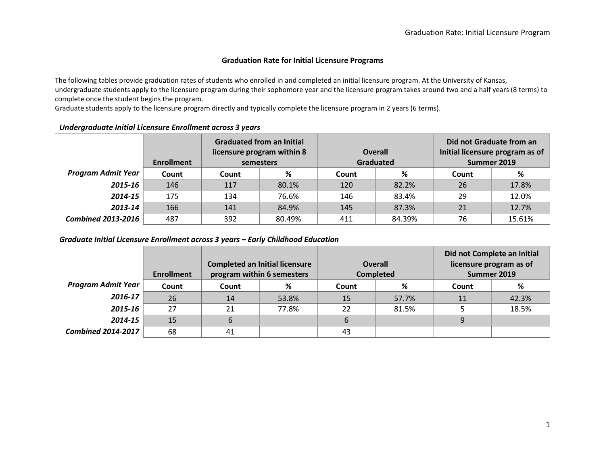#### Graduation Rate for Initial Licensure Programs

The following tables provide graduation rates of students who enrolled in and completed an initial licensure program. At the University of Kansas, undergraduate students apply to the licensure program during their sophomore year and the licensure program takes around two and a half years (8 terms) to complete once the student begins the program.

Graduate students apply to the licensure program directly and typically complete the licensure program in 2 years (6 terms).

|                           | <b>Enrollment</b> |       | <b>Graduated from an Initial</b><br>licensure program within 8<br>semesters |       | <b>Overall</b><br>Graduated | Did not Graduate from an<br>Initial licensure program as of<br>Summer 2019 |        |
|---------------------------|-------------------|-------|-----------------------------------------------------------------------------|-------|-----------------------------|----------------------------------------------------------------------------|--------|
| <b>Program Admit Year</b> | Count             | Count | %                                                                           | Count | %                           | <b>Count</b>                                                               | %      |
| 2015-16                   | 146               | 117   | 80.1%                                                                       | 120   | 82.2%                       | 26                                                                         | 17.8%  |
| 2014-15                   | 175               | 134   | 76.6%                                                                       | 146   | 83.4%                       | 29                                                                         | 12.0%  |
| 2013-14                   | 166               | 141   | 84.9%                                                                       | 145   | 87.3%                       | 21                                                                         | 12.7%  |
| <b>Combined 2013-2016</b> | 487               | 392   | 80.49%                                                                      | 411   | 84.39%                      | 76                                                                         | 15.61% |

### Undergraduate Initial Licensure Enrollment across 3 years

Graduate Initial Licensure Enrollment across 3 years – Early Childhood Education

|                           | <b>Enrollment</b> |       | <b>Completed an Initial licensure</b><br>program within 6 semesters |       | <b>Overall</b><br><b>Completed</b> | Did not Complete an Initial<br>licensure program as of<br>Summer 2019 |       |
|---------------------------|-------------------|-------|---------------------------------------------------------------------|-------|------------------------------------|-----------------------------------------------------------------------|-------|
| <b>Program Admit Year</b> | Count             | Count | %                                                                   | Count | %                                  | Count                                                                 | %     |
| 2016-17                   | 26                | 14    | 53.8%                                                               | 15    | 57.7%                              | 11                                                                    | 42.3% |
| 2015-16                   | 27                | 21    | 77.8%                                                               | 22    | 81.5%                              |                                                                       | 18.5% |
| 2014-15                   | 15                | 6     |                                                                     | 6     |                                    |                                                                       |       |
| <b>Combined 2014-2017</b> | 68                | 41    |                                                                     | 43    |                                    |                                                                       |       |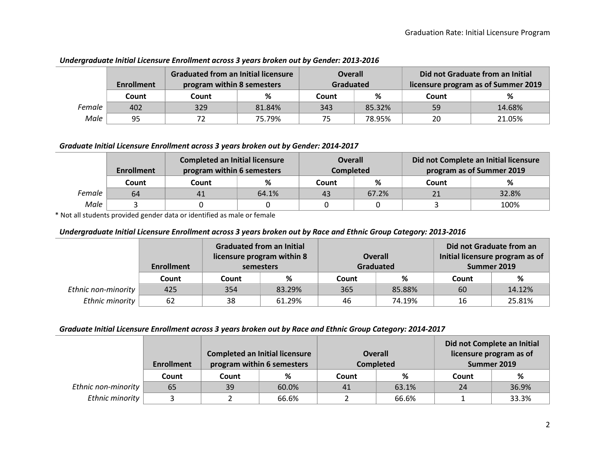|        | <b>Enrollment</b> | <b>Graduated from an Initial licensure</b><br>program within 8 semesters |        | <b>Overall</b><br>Graduated |        |       | Did not Graduate from an Initial<br>licensure program as of Summer 2019 |  |
|--------|-------------------|--------------------------------------------------------------------------|--------|-----------------------------|--------|-------|-------------------------------------------------------------------------|--|
|        | Count             | Count                                                                    | %      | Count                       | %      | Count |                                                                         |  |
| Female | 402               | 329                                                                      | 81.84% | 343                         | 85.32% | 59    | 14.68%                                                                  |  |
| Male   | 95                | 72                                                                       | 75.79% | 75                          | 78.95% | 20    | 21.05%                                                                  |  |

## Undergraduate Initial Licensure Enrollment across 3 years broken out by Gender: 2013-2016

#### Graduate Initial Licensure Enrollment across 3 years broken out by Gender: 2014-2017

|        | <b>Enrollment</b> | <b>Completed an Initial licensure</b><br>program within 6 semesters |       | <b>Overall</b><br><b>Completed</b> |       | Did not Complete an Initial licensure<br>program as of Summer 2019 |       |  |
|--------|-------------------|---------------------------------------------------------------------|-------|------------------------------------|-------|--------------------------------------------------------------------|-------|--|
|        | Count             | Count                                                               | ℅     | Count                              | ℅     | Count                                                              | %     |  |
| Female | 64                | 41                                                                  | 64.1% | 43                                 | 67.2% |                                                                    | 32.8% |  |
| Male   |                   |                                                                     |       |                                    |       |                                                                    | 100%  |  |

\* Not all students provided gender data or identified as male or female

#### Undergraduate Initial Licensure Enrollment across 3 years broken out by Race and Ethnic Group Category: 2013-2016

|                     | <b>Enrollment</b> |       | <b>Graduated from an Initial</b><br>licensure program within 8<br>semesters |       | <b>Overall</b><br><b>Graduated</b> | Did not Graduate from an<br>Initial licensure program as of<br>Summer 2019 |        |
|---------------------|-------------------|-------|-----------------------------------------------------------------------------|-------|------------------------------------|----------------------------------------------------------------------------|--------|
|                     | Count             | Count | %                                                                           | Count | %                                  | Count                                                                      | %      |
| Ethnic non-minority | 425               | 354   | 83.29%                                                                      | 365   | 85.88%                             | 60                                                                         | 14.12% |
| Ethnic minority     | 62                | 38    | 61.29%                                                                      | 46    | 74.19%                             | 16                                                                         | 25.81% |

#### Graduate Initial Licensure Enrollment across 3 years broken out by Race and Ethnic Group Category: 2014-2017

|                     | <b>Enrollment</b> |       | <b>Completed an Initial licensure</b><br>program within 6 semesters | <b>Overall</b> | <b>Completed</b> | Did not Complete an Initial<br>licensure program as of<br>Summer 2019 |       |
|---------------------|-------------------|-------|---------------------------------------------------------------------|----------------|------------------|-----------------------------------------------------------------------|-------|
|                     | Count             | Count | %                                                                   | Count          | %                | Count                                                                 | %     |
| Ethnic non-minority | 65                | 39    | 60.0%                                                               | 41             | 63.1%            | 24                                                                    | 36.9% |
| Ethnic minority     |                   |       | 66.6%                                                               |                | 66.6%            |                                                                       | 33.3% |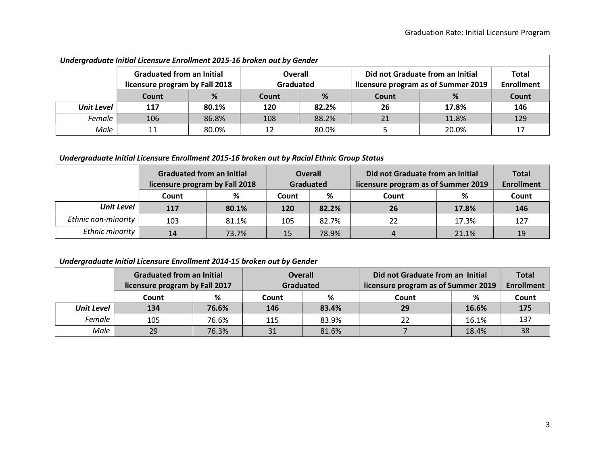| Undergraduate Initial Licensure Enrollment 2015-16 broken out by Gender |                                                                    |       |                             |       |              |                                                                         |                                   |  |  |  |  |  |
|-------------------------------------------------------------------------|--------------------------------------------------------------------|-------|-----------------------------|-------|--------------|-------------------------------------------------------------------------|-----------------------------------|--|--|--|--|--|
|                                                                         | <b>Graduated from an Initial</b><br>licensure program by Fall 2018 |       | <b>Overall</b><br>Graduated |       |              | Did not Graduate from an Initial<br>licensure program as of Summer 2019 | <b>Total</b><br><b>Enrollment</b> |  |  |  |  |  |
|                                                                         | Count                                                              | %     | Count                       | %     | <b>Count</b> | %                                                                       | <b>Count</b>                      |  |  |  |  |  |
| <b>Unit Level</b>                                                       | 117                                                                | 80.1% | 120                         | 82.2% | 26           | 17.8%                                                                   | 146                               |  |  |  |  |  |
| Female                                                                  | 106                                                                | 86.8% | 108                         | 88.2% | 21           | 11.8%                                                                   | 129                               |  |  |  |  |  |
| Male                                                                    | 11                                                                 | 80.0% | 12                          | 80.0% |              | 20.0%                                                                   | 17                                |  |  |  |  |  |

# Undergraduate Initial Licensure Enrollment 2015-16 broken out by Gender

# Undergraduate Initial Licensure Enrollment 2015-16 broken out by Racial Ethnic Group Status

|                     | <b>Graduated from an Initial</b><br>licensure program by Fall 2018 |       | <b>Overall</b><br>Graduated |       | Did not Graduate from an Initial<br>licensure program as of Summer 2019 | <b>Total</b><br><b>Enrollment</b> |       |
|---------------------|--------------------------------------------------------------------|-------|-----------------------------|-------|-------------------------------------------------------------------------|-----------------------------------|-------|
|                     | Count                                                              | %     | Count                       | %     | Count                                                                   | %                                 | Count |
| <b>Unit Level</b>   | 117                                                                | 80.1% | 120                         | 82.2% | <b>26</b>                                                               | 17.8%                             | 146   |
| Ethnic non-minority | 103                                                                | 81.1% | 105                         | 82.7% | 22                                                                      | 17.3%                             | 127   |
| Ethnic minority     | 14                                                                 | 73.7% | 15                          | 78.9% |                                                                         | 21.1%                             | 19    |

# Undergraduate Initial Licensure Enrollment 2014-15 broken out by Gender

|                   | <b>Graduated from an Initial</b> |       | <b>Overall</b> |       | Did not Graduate from an Initial    |                   | <b>Total</b> |
|-------------------|----------------------------------|-------|----------------|-------|-------------------------------------|-------------------|--------------|
|                   | licensure program by Fall 2017   |       | Graduated      |       | licensure program as of Summer 2019 | <b>Enrollment</b> |              |
|                   | Count                            | %     | %<br>Count     |       | Count                               | %                 | Count        |
| <b>Unit Level</b> | 134                              | 76.6% | 146            | 83.4% | 29                                  | 16.6%             | 175          |
| Female            | 105                              | 76.6% | 115            | 83.9% |                                     | 16.1%             | 137          |
| Male              | 29                               | 76.3% | 31             | 81.6% |                                     | 18.4%             | 38           |